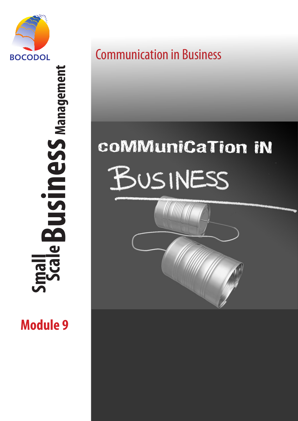

 **Scale Business Management Business** Management  $\overline{\mathbf{C}}$ **Small** 

**Module 9**

Communication in Business

# coMMuniCaTion IN BUSINESS

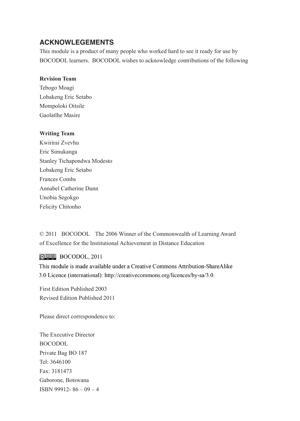### **ACKNOWLEGEMENTS**

This module is a product of many people who worked hard to see it ready for use by BOCODOL learners. BOCODOL wishes to acknowledge contributions of the following

#### **Revision Team**

Tebogo Moagi Lobakeng Eric Setabo Mompoloki Oitsile Gaolatlhe Masire

#### **Writing Team**

Kwirirai Zvevhu Eric Simukanga Stanley Tichapondwa Modesto Lobakeng Eric Setabo Frances Combs Annabel Catherine Dunn Unobia Segokgo Felicity Chitonho

© 2011 BOCODOL The 2006 Winner of the Commonwealth of Learning Award of Excellence for the Institutional Achievement in Distance Education

@00 BOCODOL, 2011

This module is made available under a Creative Commons Attribution-ShareAlike 3.0 Licence (international): http://creativecommons.org/licences/by-sa/3.0.

First Edition Published 2003 Revised Edition Published 2011

Please direct correspondence to:

The Executive Director BOCODOL Private Bag BO 187 Tel: 3646100 Fax: 3181473 Gaborone, Botswana ISBN 99912- 86 – 09 – 4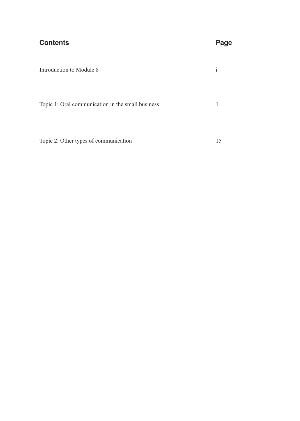| <b>Contents</b>                                   | Page         |
|---------------------------------------------------|--------------|
| Introduction to Module 8                          | $\mathbf{1}$ |
| Topic 1: Oral communication in the small business | 1            |
| Topic 2: Other types of communication             | 15           |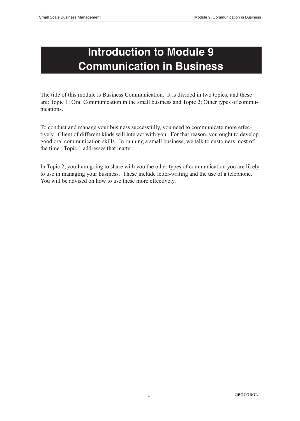# **Introduction to Module 9 Communication in Business**

The title of this module is Business Communication. It is divided in two topics, and these are: Topic 1: Oral Communication in the small business and Topic 2; Other types of communications.

To conduct and manage your business successfully, you need to communicate more effectively. Client of different kinds will interact with you. For that reason, you ought to develop good oral communication skills. In running a small business, we talk to customers most of the time. Topic 1 addresses that matter.

In Topic 2, you I am going to share with you the other types of communication you are likely to use in managing your business. These include letter-writing and the use of a telephone. You will be advised on how to use these more effectively.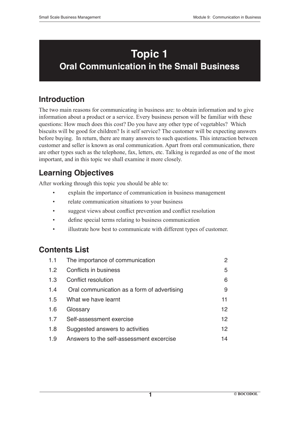# **Topic 1 Oral Communication in the Small Business**

# **Introduction**

The two main reasons for communicating in business are: to obtain information and to give information about a product or a service. Every business person will be familiar with these questions: How much does this cost? Do you have any other type of vegetables? Which biscuits will be good for children? Is it self service? The customer will be expecting answers before buying. In return, there are many answers to such questions. This interaction between customer and seller is known as oral communication. Apart from oral communication, there are other types such as the telephone, fax, letters, etc. Talking is regarded as one of the most important, and in this topic we shall examine it more closely.

# **Learning Objectives**

After working through this topic you should be able to:

- explain the importance of communication in business management
- relate communication situations to your business
- suggest views about conflict prevention and conflict resolution
- define special terms relating to business communication
- illustrate how best to communicate with different types of customer.

# **Contents List**

| 1.1             | The importance of communication             | 2               |
|-----------------|---------------------------------------------|-----------------|
| 12              | Conflicts in business                       | 5               |
| 1 $\mathcal{S}$ | Conflict resolution                         | 6               |
| 14              | Oral communication as a form of advertising | 9               |
| 1.5             | What we have learnt                         | 11              |
| 1.6             | Glossary                                    | 12 <sup>°</sup> |
| 17              | Self-assessment exercise                    | 12              |
| 1.8             | Suggested answers to activities             | 12              |
| 1.9             | Answers to the self-assessment excercise    | 14              |

**1**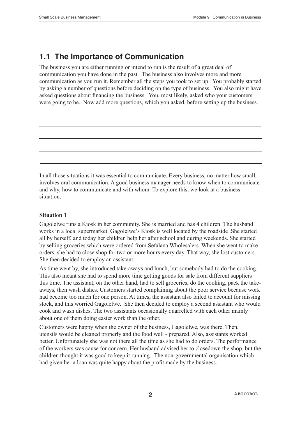# **1.1 The Importance of Communication**

The business you are either running or intend to run is the result of a great deal of communication you have done in the past. The business also involves more and more communication as you run it. Remember all the steps you took to set up. You probably started by asking a number of questions before deciding on the type of business. You also might have asked questions about financing the business. You, most likely, asked who your customers were going to be. Now add more questions, which you asked, before setting up the business.

In all those situations it was essential to communicate. Every business, no matter how small, involves oral communication. A good business manager needs to know when to communicate and why, how to communicate and with whom. To explore this, we look at a business situation.

#### **Situation 1**

Gagolelwe runs a Kiosk in her community. She is married and has 4 children. The husband works in a local supermarket. Gagolelwe's Kiosk is well located by the roadside .She started all by herself, and today her children help her after school and during weekends. She started by selling groceries which were ordered from Sefalana Wholesalers. When she went to make orders, she had to close shop for two or more hours every day. That way, she lost customers. She then decided to employ an assistant.

As time went by, she introduced take-aways and lunch, but somebody had to do the cooking. This also meant she had to spend more time getting goods for sale from different suppliers this time. The assistant, on the other hand, had to sell groceries, do the cooking, pack the takeaways, then wash dishes. Customers started complaining about the poor service because work had become too much for one person. At times, the assistant also failed to account for missing stock, and this worried Gagolelwe. She then decided to employ a second assistant who would cook and wash dishes. The two assistants occasionally quarrelled with each other mainly about one of them doing easier work than the other.

Customers were happy when the owner of the business, Gagolelwe, was there. Then, utensils would be cleaned properly and the food well - prepared. Also, assistants worked better. Unfortunately she was not there all the time as she had to do orders. The performance of the workers was cause for concern. Her husband advised her to closedown the shop, but the children thought it was good to keep it running. The non-governmental organisation which had given her a loan was quite happy about the profit made by the business.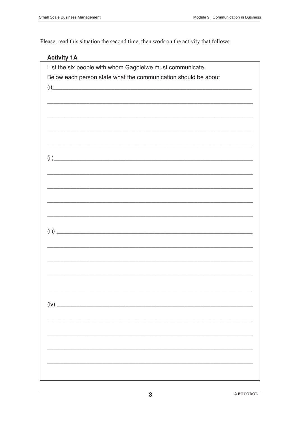Please, read this situation the second time, then work on the activity that follows.

### **Activity 1A**

| List the six people with whom Gagolelwe must communicate.                                                                                                                                                                                             |  |
|-------------------------------------------------------------------------------------------------------------------------------------------------------------------------------------------------------------------------------------------------------|--|
| Below each person state what the communication should be about                                                                                                                                                                                        |  |
| $(i)$ and $(i)$ and $(i)$ and $(i)$ and $(i)$ and $(i)$ and $(i)$ and $(i)$ and $(i)$ and $(i)$ and $(i)$ and $(i)$ and $(i)$ and $(i)$ and $(i)$ and $(i)$ and $(i)$ and $(i)$ and $(i)$ and $(i)$ and $(i)$ and $(i)$ and $(i)$ and $(i)$ and $(i)$ |  |
|                                                                                                                                                                                                                                                       |  |
|                                                                                                                                                                                                                                                       |  |
|                                                                                                                                                                                                                                                       |  |
|                                                                                                                                                                                                                                                       |  |
|                                                                                                                                                                                                                                                       |  |
|                                                                                                                                                                                                                                                       |  |
|                                                                                                                                                                                                                                                       |  |
|                                                                                                                                                                                                                                                       |  |
|                                                                                                                                                                                                                                                       |  |
|                                                                                                                                                                                                                                                       |  |
|                                                                                                                                                                                                                                                       |  |
|                                                                                                                                                                                                                                                       |  |
|                                                                                                                                                                                                                                                       |  |
|                                                                                                                                                                                                                                                       |  |
|                                                                                                                                                                                                                                                       |  |
|                                                                                                                                                                                                                                                       |  |
|                                                                                                                                                                                                                                                       |  |
|                                                                                                                                                                                                                                                       |  |
|                                                                                                                                                                                                                                                       |  |
|                                                                                                                                                                                                                                                       |  |
|                                                                                                                                                                                                                                                       |  |
|                                                                                                                                                                                                                                                       |  |
|                                                                                                                                                                                                                                                       |  |
|                                                                                                                                                                                                                                                       |  |
|                                                                                                                                                                                                                                                       |  |
|                                                                                                                                                                                                                                                       |  |
|                                                                                                                                                                                                                                                       |  |
|                                                                                                                                                                                                                                                       |  |
|                                                                                                                                                                                                                                                       |  |
|                                                                                                                                                                                                                                                       |  |
|                                                                                                                                                                                                                                                       |  |
|                                                                                                                                                                                                                                                       |  |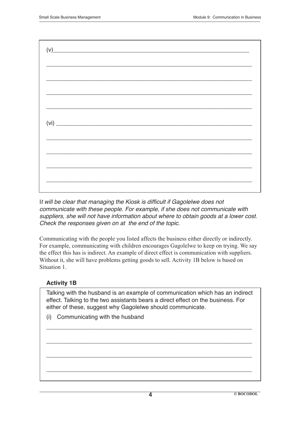| $\left(\mathsf{V}\right) \hspace{5cm} \textcolor{red}{\overbrace{\hspace{5cm} \text{min} \hspace{5.5cm} \text{min} \hspace{5.5cm} \text{min} \hspace{5.5cm} \text{min} \hspace{5.5cm} \text{min} \hspace{5.5cm} \text{min} \hspace{5.5cm} \text{min} \hspace{5.5cm} \text{min} \hspace{5.5cm} \text{min} \hspace{5.5cm} \text{min} \hspace{5.5cm} \text{min} \hspace{5.5cm} \text{min} \hspace{5.5cm} \text{min} \hspace{5.5cm} \text{min}$ |  |  |  |
|---------------------------------------------------------------------------------------------------------------------------------------------------------------------------------------------------------------------------------------------------------------------------------------------------------------------------------------------------------------------------------------------------------------------------------------------|--|--|--|
|                                                                                                                                                                                                                                                                                                                                                                                                                                             |  |  |  |
|                                                                                                                                                                                                                                                                                                                                                                                                                                             |  |  |  |
|                                                                                                                                                                                                                                                                                                                                                                                                                                             |  |  |  |
|                                                                                                                                                                                                                                                                                                                                                                                                                                             |  |  |  |
|                                                                                                                                                                                                                                                                                                                                                                                                                                             |  |  |  |
|                                                                                                                                                                                                                                                                                                                                                                                                                                             |  |  |  |
|                                                                                                                                                                                                                                                                                                                                                                                                                                             |  |  |  |
|                                                                                                                                                                                                                                                                                                                                                                                                                                             |  |  |  |
|                                                                                                                                                                                                                                                                                                                                                                                                                                             |  |  |  |
|                                                                                                                                                                                                                                                                                                                                                                                                                                             |  |  |  |

It will be clear that managing the Kiosk is difficult if Gagolelwe does not communicate with these people. For example, if she does not communicate with suppliers, she will not have information about where to obtain goods at a lower cost. Check the responses given on at the end of the topic.

Communicating with the people you listed affects the business either directly or indirectly. For example, communicating with children encourages Gagolelwe to keep on trying. We say the effect this has is indirect. An example of direct effect is communication with suppliers. Without it, she will have problems getting goods to sell. Activity 1B below is based on Situation 1.

#### **Activity 1B**

Talking with the husband is an example of communication which has an indirect effect. Talking to the two assistants bears a direct effect on the business. For either of these, suggest why Gagolelwe should communicate.

\_\_\_\_\_\_\_\_\_\_\_\_\_\_\_\_\_\_\_\_\_\_\_\_\_\_\_\_\_\_\_\_\_\_\_\_\_\_\_\_\_\_\_\_\_\_\_\_\_\_\_\_\_\_\_\_\_\_\_\_\_\_\_

\_\_\_\_\_\_\_\_\_\_\_\_\_\_\_\_\_\_\_\_\_\_\_\_\_\_\_\_\_\_\_\_\_\_\_\_\_\_\_\_\_\_\_\_\_\_\_\_\_\_\_\_\_\_\_\_\_\_\_\_\_\_\_

\_\_\_\_\_\_\_\_\_\_\_\_\_\_\_\_\_\_\_\_\_\_\_\_\_\_\_\_\_\_\_\_\_\_\_\_\_\_\_\_\_\_\_\_\_\_\_\_\_\_\_\_\_\_\_\_\_\_\_\_\_\_\_

\_\_\_\_\_\_\_\_\_\_\_\_\_\_\_\_\_\_\_\_\_\_\_\_\_\_\_\_\_\_\_\_\_\_\_\_\_\_\_\_\_\_\_\_\_\_\_\_\_\_\_\_\_\_\_\_\_\_\_\_\_\_\_

(i) Communicating with the husband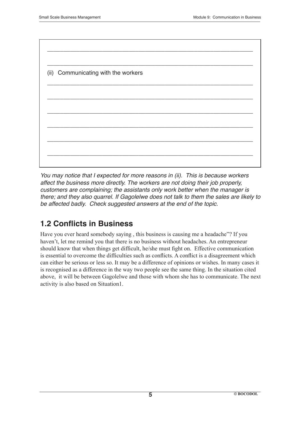| (ii) Communicating with the workers |  |  |  |
|-------------------------------------|--|--|--|
|                                     |  |  |  |
|                                     |  |  |  |
|                                     |  |  |  |
|                                     |  |  |  |
|                                     |  |  |  |
|                                     |  |  |  |

You may notice that I expected for more reasons in (ii). This is because workers affect the business more directly. The workers are not doing their job properly, customers are complaining; the assistants only work better when the manager is there; and they also quarrel. If Gagolelwe does not talk to them the sales are likely to be affected badly. Check suggested answers at the end of the topic.

# **1.2 Conflicts in Business**

Have you ever heard somebody saying , this business is causing me a headache"? If you haven't, let me remind you that there is no business without headaches. An entrepreneur should know that when things get difficult, he/she must fight on. Effective communication is essential to overcome the difficulties such as conflicts. A conflict is a disagreement which can either be serious or less so. It may be a difference of opinions or wishes. In many cases it is recognised as a difference in the way two people see the same thing. In the situation cited above, it will be between Gagolelwe and those with whom she has to communicate. The next activity is also based on Situation1.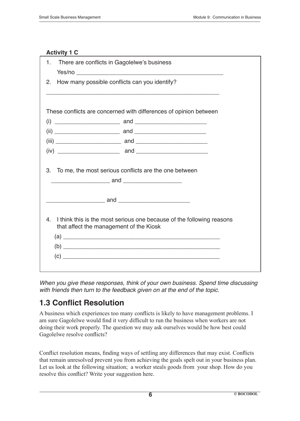#### **Activity 1 C**

| There are conflicts in Gagolelwe's business<br>1.   |                                                                       |
|-----------------------------------------------------|-----------------------------------------------------------------------|
| How many possible conflicts can you identify?<br>2. |                                                                       |
|                                                     |                                                                       |
|                                                     | These conflicts are concerned with differences of opinion between     |
|                                                     |                                                                       |
|                                                     |                                                                       |
|                                                     |                                                                       |
|                                                     |                                                                       |
| 3.                                                  | To me, the most serious conflicts are the one between                 |
|                                                     |                                                                       |
| 4.<br>that affect the management of the Kiosk       | I think this is the most serious one because of the following reasons |

When you give these responses, think of your own business. Spend time discussing with friends then turn to the feedback given on at the end of the topic.

# **1.3 Conflict Resolution**

A business which experiences too many conflicts is likely to have management problems. I am sure Gagolelwe would find it very difficult to run the business when workers are not doing their work properly. The question we may ask ourselves would be how best could Gagolelwe resolve conflicts?

Conflict resolution means, finding ways of settling any differences that may exist. Conflicts that remain unresolved prevent you from achieving the goals spelt out in your business plan. Let us look at the following situation; a worker steals goods from your shop. How do you resolve this conflict? Write your suggestion here.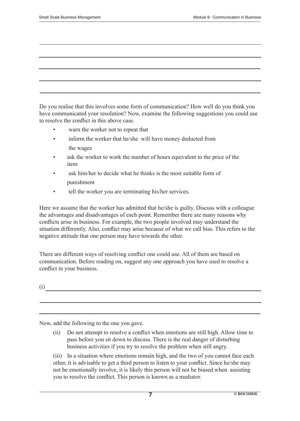Do you realise that this involves some form of communication? How well do you think you have communicated your resolution? Now, examine the following suggestions you could use to resolve the conflict in this above case.

- warn the worker not to repeat that
- inform the worker that he/she will have money deducted from the wages
- ask the worker to work the number of hours equivalent to the price of the item
- ask him/her to decide what he thinks is the most suitable form of punishment
- tell the worker you are terminating his/her services.

Here we assume that the worker has admitted that he/she is guilty. Discuss with a colleague the advantages and disadvantages of each point. Remember there are many reasons why conflicts arise in business. For example, the two people involved may understand the situation differently. Also, conflict may arise because of what we call bias. This refers to the negative attitude that one person may have towards the other.

There are different ways of resolving conflict one could use. All of them are based on communication. Before reading on, suggest any one approach you have used to resolve a conflict in your business.

(i)

Now, add the following to the one you gave.

 (ii) Do not attempt to resolve a conflict when emotions are still high. Allow time to pass before you sit down to discuss. There is the real danger of disturbing business activities if you try to resolve the problem when still angry.

(iii) In a situation where emotions remain high, and the two of you cannot face each other, it is advisable to get a third person to listen to your conflict. Since he/she may not be emotionally involve, it is likely this person will not be biased when assisting you to resolve the conflict. This person is known as a mediator.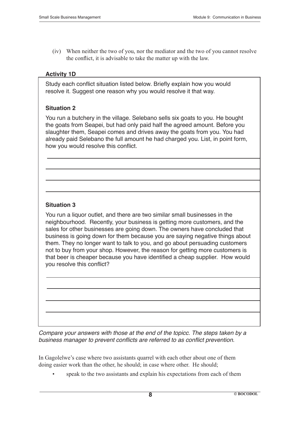(iv) When neither the two of you, nor the mediator and the two of you cannot resolve the conflict, it is advisable to take the matter up with the law.

#### **Activity 1D**

Study each conflict situation listed below. Briefly explain how you would resolve it. Suggest one reason why you would resolve it that way.

#### **Situation 2**

You run a butchery in the village. Selebano sells six goats to you. He bought the goats from Seapei, but had only paid half the agreed amount. Before you slaughter them, Seapei comes and drives away the goats from you. You had already paid Selebano the full amount he had charged you. List, in point form, how you would resolve this conflict.

#### **Situation 3**

You run a liquor outlet, and there are two similar small businesses in the neighbourhood. Recently, your business is getting more customers, and the sales for other businesses are going down. The owners have concluded that business is going down for them because you are saying negative things about them. They no longer want to talk to you, and go about persuading customers not to buy from your shop. However, the reason for getting more customers is that beer is cheaper because you have identified a cheap supplier. How would you resolve this conflict?

Compare your answers with those at the end of the topicc. The steps taken by a business manager to prevent conflicts are referred to as conflict prevention.

In Gagolelwe's case where two assistants quarrel with each other about one of them doing easier work than the other, he should; in case where other. He should;

speak to the two assistants and explain his expectations from each of them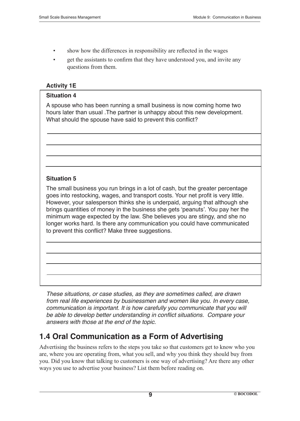- show how the differences in responsibility are reflected in the wages
- get the assistants to confirm that they have understood you, and invite any questions from them.

#### **Activity 1E**

#### **Situation 4**

A spouse who has been running a small business is now coming home two hours later than usual .The partner is unhappy about this new development. What should the spouse have said to prevent this conflict?

#### **Situation 5**

The small business you run brings in a lot of cash, but the greater percentage goes into restocking, wages, and transport costs. Your net profit is very little. However, your salesperson thinks she is underpaid, arguing that although she brings quantities of money in the business she gets 'peanuts'. You pay her the minimum wage expected by the law. She believes you are stingy, and she no longer works hard. Is there any communication you could have communicated to prevent this conflict? Make three suggestions.

These situations, or case studies, as they are sometimes called, are drawn from real life experiences by businessmen and women like you. In every case, communication is important. It is how carefully you communicate that you will be able to develop better understanding in conflict situations. Compare your answers with those at the end of the topic.

### **1.4 Oral Communication as a Form of Advertising**

Advertising the business refers to the steps you take so that customers get to know who you are, where you are operating from, what you sell, and why you think they should buy from you. Did you know that talking to customers is one way of advertising? Are there any other ways you use to advertise your business? List them before reading on.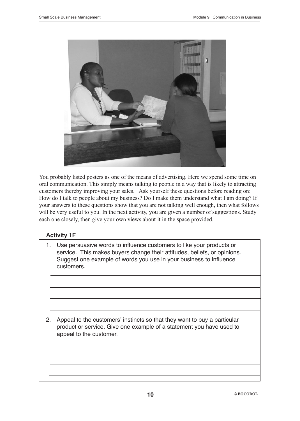

You probably listed posters as one of the means of advertising. Here we spend some time on oral communication. This simply means talking to people in a way that is likely to attracting customers thereby improving your sales. Ask yourself these questions before reading on: How do I talk to people about my business? Do I make them understand what I am doing? If your answers to these questions show that you are not talking well enough, then what follows will be very useful to you. In the next activity, you are given a number of suggestions. Study each one closely, then give your own views about it in the space provided.

### **Activity 1F**

1. Use persuasive words to influence customers to like your products or service. This makes buyers change their attitudes, beliefs, or opinions. Suggest one example of words you use in your business to influence customers.

2. Appeal to the customers' instincts so that they want to buy a particular product or service. Give one example of a statement you have used to appeal to the customer.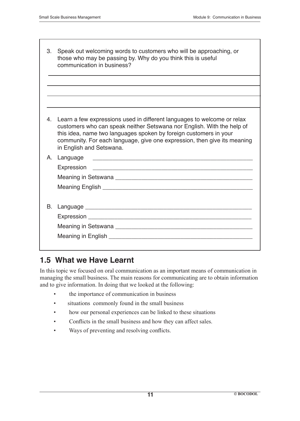| 3. | Speak out welcoming words to customers who will be approaching, or<br>those who may be passing by. Why do you think this is useful<br>communication in business?                                                                                                                                                               |
|----|--------------------------------------------------------------------------------------------------------------------------------------------------------------------------------------------------------------------------------------------------------------------------------------------------------------------------------|
|    |                                                                                                                                                                                                                                                                                                                                |
|    |                                                                                                                                                                                                                                                                                                                                |
|    |                                                                                                                                                                                                                                                                                                                                |
| 4. | Learn a few expressions used in different languages to welcome or relax<br>customers who can speak neither Setswana nor English. With the help of<br>this idea, name two languages spoken by foreign customers in your<br>community. For each language, give one expression, then give its meaning<br>in English and Setswana. |
| A. | Language<br><u> 1989 - Johann John Harrison, mars eta bat eta bat eta bat eta bat ez arte eta bat ez arte eta bat ez arte e</u><br>Expression<br><u> 1989 - Johann John Stoff, deutscher Stoffen und der Stoffen und der Stoffen und der Stoffen und der Stoffen</u>                                                           |
| В. | Language experience and the contract of the contract of the contract of the contract of the contract of the contract of the contract of the contract of the contract of the contract of the contract of the contract of the co                                                                                                 |

### **1.5 What we Have Learnt**

In this topic we focused on oral communication as an important means of communication in managing the small business. The main reasons for communicating are to obtain information and to give information. In doing that we looked at the following:

- the importance of communication in business
- situations commonly found in the small business
- how our personal experiences can be linked to these situations
- Conflicts in the small business and how they can affect sales.
- • Ways of preventing and resolving conflicts.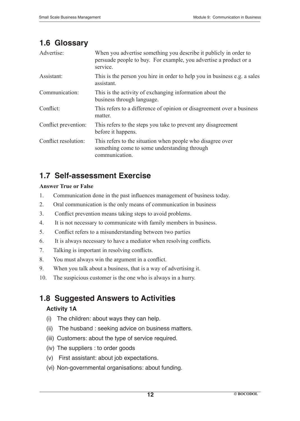### **1.6 Glossary**

| Advertise:           | When you advertise something you describe it publicly in order to<br>persuade people to buy. For example, you advertise a product or a<br>service. |
|----------------------|----------------------------------------------------------------------------------------------------------------------------------------------------|
| Assistant:           | This is the person you hire in order to help you in business e.g. a sales<br>assistant.                                                            |
| Communication:       | This is the activity of exchanging information about the<br>business through language.                                                             |
| Conflict:            | This refers to a difference of opinion or disagreement over a business<br>matter.                                                                  |
| Conflict prevention: | This refers to the steps you take to prevent any disagreement<br>before it happens.                                                                |
| Conflict resolution: | This refers to the situation when people who disagree over<br>something come to some understanding through<br>communication.                       |

# **1.7 Self-assessment Exercise**

#### **Answer True or False**

- 1. Communication done in the past influences management of business today.
- 2. Oral communication is the only means of communication in business
- 3. Conflict prevention means taking steps to avoid problems.
- 4. It is not necessary to communicate with family members in business.
- 5. Conflict refers to a misunderstanding between two parties
- 6. It is always necessary to have a mediator when resolving conflicts.
- 7. Talking is important in resolving conflicts.
- 8. You must always win the argument in a conflict.
- 9. When you talk about a business, that is a way of advertising it.
- 10. The suspicious customer is the one who is always in a hurry.

# **1.8 Suggested Answers to Activities**

### **Activity 1A**

- (i) The children: about ways they can help.
- (ii) The husband : seeking advice on business matters.
- (iii) Customers: about the type of service required.
- (iv) The suppliers : to order goods
- (v) First assistant: about job expectations.
- (vi) Non-governmental organisations: about funding.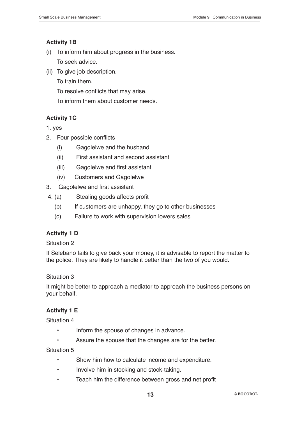#### **Activity 1B**

- (i) To inform him about progress in the business. To seek advice.
- (ii) To give job description.
	- To train them.

 To resolve conflicts that may arise.

 To inform them about customer needs.

### **Activity 1C**

1. yes

- 2. Four possible conflicts
	- (i) Gagolelwe and the husband
	- (ii) First assistant and second assistant
	- (iii) Gagolelwe and first assistant
	- (iv) Customers and Gagolelwe
- 3. Gagolelwe and first assistant
- 4. (a) Stealing goods affects profit
	- (b) If customers are unhappy, they go to other businesses
	- (c) Failure to work with supervision lowers sales

### **Activity 1 D**

### Situation 2

If Selebano fails to give back your money, it is advisable to report the matter to the police. They are likely to handle it better than the two of you would.

### Situation 3

It might be better to approach a mediator to approach the business persons on your behalf.

### **Activity 1 E**

Situation 4

- Inform the spouse of changes in advance.
- Assure the spouse that the changes are for the better.

Situation 5

- Show him how to calculate income and expenditure.
- • Involve him in stocking and stock-taking.
- • Teach him the difference between gross and net profit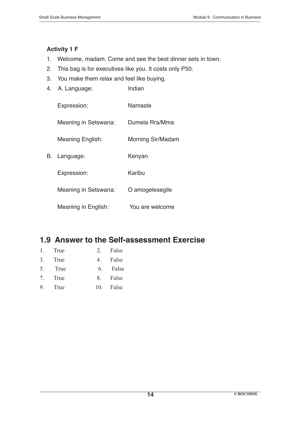#### **Activity 1 F**

- 1. Welcome, madam. Come and see the best dinner sets in town.
- 2. This bag is for executives like you. It costs only P50.
- 3. You make them relax and feel like buying.
- 4. A. Language: Indian

|    | Expression:          | Namaste           |
|----|----------------------|-------------------|
|    | Meaning in Setswana: | Dumela Rra/Mma    |
|    | Meaning English:     | Morning Sir/Madam |
| В. | Language:            | Kenyan            |
|    | Expression:          | Karibu            |
|    | Meaning in Setswana: | O amogelesegile   |
|    | Meaning in English:  | You are welcome   |

### **1.9 Answer to the Self-assessment Exercise**

| 1. True | 2. False  |
|---------|-----------|
| 3. True | 4. False  |
| 5. True | 6. False  |
| 7. True | 8. False  |
| 9. True | 10. False |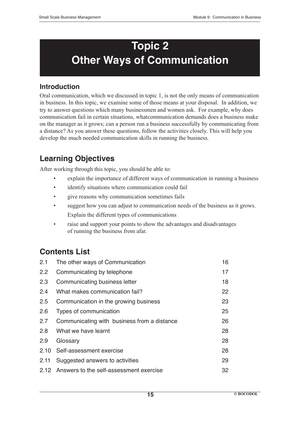# **Topic 2 Other Ways of Communication**

### **Introduction**

Oral communication, which we discussed in topic 1, is not the only means of communication in business. In this topic, we examine some of those means at your disposal. In addition, we try to answer questions which many businessmen and women ask. For example, why does communication fail in certain situations, whatcommunication demands does a business make on the manager as it grows; can a person run a business successfully by communicating from a distance? As you answer these questions, follow the activities closely. This will help you develop the much needed communication skills in running the business.

# **Learning Objectives**

After working through this topic, you should be able to:

- explain the importance of different ways of communication in running a business
- identify situations where communication could fail
- give reasons why communication sometimes fails
- suggest how you can adjust to communication needs of the business as it grows. Explain the different types of communications
- raise and support your points to show the advantages and disadvantages of running the business from afar.

# **Contents List**

| 2.1  | The other ways of Communication              | 16 |
|------|----------------------------------------------|----|
| 2.2  | Communicating by telephone                   | 17 |
| 2.3  | Communicating business letter                | 18 |
| 2.4  | What makes communication fail?               | 22 |
| 2.5  | Communication in the growing business        | 23 |
| 2.6  | Types of communication                       | 25 |
| 2.7  | Communicating with business from a distance  | 26 |
| 2.8  | What we have learnt                          | 28 |
| 2.9  | Glossary                                     | 28 |
|      | 2.10 Self-assessment exercise                | 28 |
| 2.11 | Suggested answers to activities              | 29 |
|      | 2.12 Answers to the self-assessment exercise | 32 |
|      |                                              |    |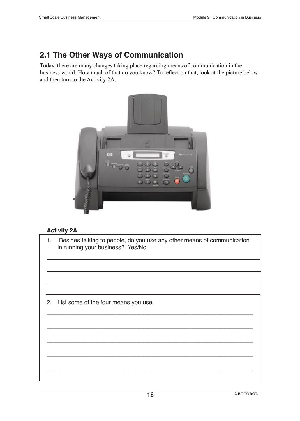# **2.1 The Other Ways of Communication**

Today, there are many changes taking place regarding means of communication in the business world. How much of that do you know? To reflect on that, look at the picture below and then turn to the Activity 2A.



#### **Activity 2A**

1. Besides talking to people, do you use any other means of communication in running your business? Yes/No

\_\_\_\_\_\_\_\_\_\_\_\_\_\_\_\_\_\_\_\_\_\_\_\_\_\_\_\_\_\_\_\_\_\_\_\_\_\_\_\_\_\_\_\_\_\_\_\_\_\_\_\_\_\_\_\_\_\_\_\_\_\_\_

\_\_\_\_\_\_\_\_\_\_\_\_\_\_\_\_\_\_\_\_\_\_\_\_\_\_\_\_\_\_\_\_\_\_\_\_\_\_\_\_\_\_\_\_\_\_\_\_\_\_\_\_\_\_\_\_\_\_\_\_\_\_\_

\_\_\_\_\_\_\_\_\_\_\_\_\_\_\_\_\_\_\_\_\_\_\_\_\_\_\_\_\_\_\_\_\_\_\_\_\_\_\_\_\_\_\_\_\_\_\_\_\_\_\_\_\_\_\_\_\_\_\_\_\_\_\_

\_\_\_\_\_\_\_\_\_\_\_\_\_\_\_\_\_\_\_\_\_\_\_\_\_\_\_\_\_\_\_\_\_\_\_\_\_\_\_\_\_\_\_\_\_\_\_\_\_\_\_\_\_\_\_\_\_\_\_\_\_\_\_

\_\_\_\_\_\_\_\_\_\_\_\_\_\_\_\_\_\_\_\_\_\_\_\_\_\_\_\_\_\_\_\_\_\_\_\_\_\_\_\_\_\_\_\_\_\_\_\_\_\_\_\_\_\_\_\_\_\_\_\_\_\_\_

2. List some of the four means you use.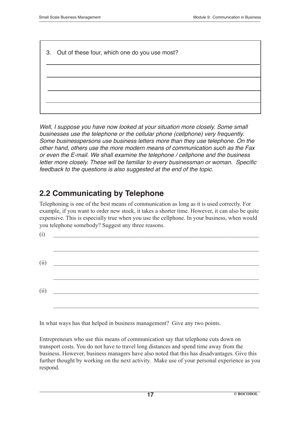3. Out of these four, which one do you use most?

Well, I suppose you have now looked at your situation more closely. Some small businesses use the telephone or the cellular phone (cellphone) very frequently. Some businesspersons use business letters more than they use telephone. On the other hand, others use the more modern means of communication such as the Fax or even the E-mail. We shall examine the telephone / cellphone and the business letter more closely. These will be familiar to every businessman or woman. Specific feedback to the questions is also suggested at the end of the topic.

# **2.2 Communicating by Telephone**

Telephoning is one of the best means of communication as long as it is used correctly. For example, if you want to order new stock, it takes a shorter time. However, it can also be quite expensive. This is especially true when you use the cellphone. In your business, when would you telephone somebody? Suggest any three reasons.

| (i) | <u> 1980 - Antonio Alemania, prima postala prima prima prima prima prima prima prima prima prima prima prima pri</u> |  |  |  |
|-----|----------------------------------------------------------------------------------------------------------------------|--|--|--|
|     | (ii)                                                                                                                 |  |  |  |
|     |                                                                                                                      |  |  |  |
|     | (ii)                                                                                                                 |  |  |  |

In what ways has that helped in business management? Give any two points.

Entrepreneurs who use this means of communication say that telephone cuts down on transport costs. You do not have to travel long distances and spend time away from the business. However, business managers have also noted that this has disadvantages. Give this further thought by working on the next activity. Make use of your personal experience as you respond.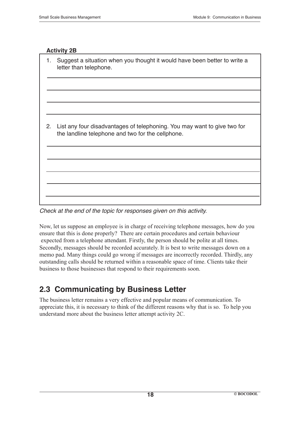#### **Activity 2B**

| 1. | Suggest a situation when you thought it would have been better to write a<br>letter than telephone.                           |
|----|-------------------------------------------------------------------------------------------------------------------------------|
|    |                                                                                                                               |
|    |                                                                                                                               |
| 2. | List any four disadvantages of telephoning. You may want to give two for<br>the landline telephone and two for the cellphone. |
|    |                                                                                                                               |
|    |                                                                                                                               |
|    |                                                                                                                               |

Check at the end of the topic for responses given on this activity.

Now, let us suppose an employee is in charge of receiving telephone messages, how do you ensure that this is done properly? There are certain procedures and certain behaviour expected from a telephone attendant. Firstly, the person should be polite at all times. Secondly, messages should be recorded accurately. It is best to write messages down on a memo pad. Many things could go wrong if messages are incorrectly recorded. Thirdly, any outstanding calls should be returned within a reasonable space of time. Clients take their business to those businesses that respond to their requirements soon.

# **2.3 Communicating by Business Letter**

The business letter remains a very effective and popular means of communication. To appreciate this, it is necessary to think of the different reasons why that is so. To help you understand more about the business letter attempt activity 2C.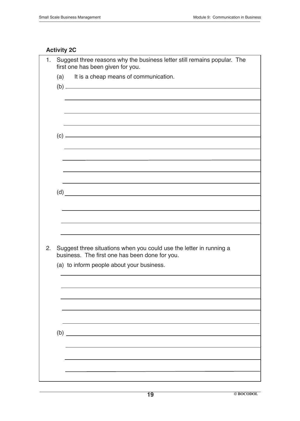### **Activity 2C**

| 1. | Suggest three reasons why the business letter still remains popular. The<br>first one has been given for you.                                                      |
|----|--------------------------------------------------------------------------------------------------------------------------------------------------------------------|
|    | It is a cheap means of communication.<br>(a)<br>$\left( b\right)$ $\qquad$                                                                                         |
|    |                                                                                                                                                                    |
|    |                                                                                                                                                                    |
|    |                                                                                                                                                                    |
|    | $(d)$ and $\overline{\phantom{a} \phantom{a}}$                                                                                                                     |
|    |                                                                                                                                                                    |
| 2. | Suggest three situations when you could use the letter in running a<br>business. The first one has been done for you.<br>(a) to inform people about your business. |
|    |                                                                                                                                                                    |
|    |                                                                                                                                                                    |
|    | $\begin{array}{c}\n\text{(b)}\end{array}$                                                                                                                          |
|    |                                                                                                                                                                    |
|    |                                                                                                                                                                    |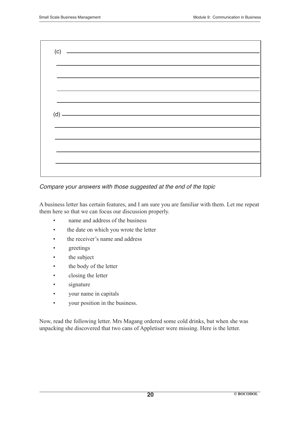

Compare your answers with those suggested at the end of the topic

A business letter has certain features, and I am sure you are familiar with them. Let me repeat them here so that we can focus our discussion properly.

- name and address of the business
- the date on which you wrote the letter
- the receiver's name and address
- greetings
- the subject
- the body of the letter
- closing the letter
- signature
- your name in capitals
- your position in the business.

Now, read the following letter. Mrs Magang ordered some cold drinks, but when she was unpacking she discovered that two cans of Appletiser were missing. Here is the letter.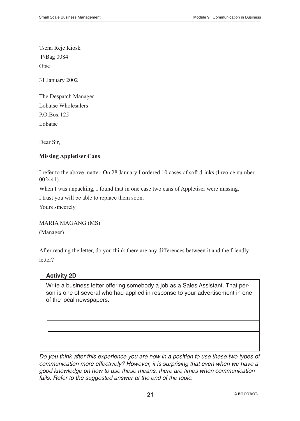Tsena Reje Kiosk P/Bag 0084 **Otse** 

31 January 2002

The Despatch Manager Lobatse Wholesalers P.O.Box 125 Lobatse

Dear Sir,

#### **Missing Appletiser Cans**

I refer to the above matter. On 28 January I ordered 10 cases of soft drinks (Invoice number 002441).

When I was unpacking, I found that in one case two cans of Appletiser were missing.

I trust you will be able to replace them soon.

Yours sincerely

MARIA MAGANG (MS)

(Manager)

After reading the letter, do you think there are any differences between it and the friendly letter?

#### **Activity 2D**

Write a business letter offering somebody a job as a Sales Assistant. That person is one of several who had applied in response to your advertisement in one of the local newspapers.

Do you think after this experience you are now in a position to use these two types of communication more effectively? However, it is surprising that even when we have a good knowledge on how to use these means, there are times when communication fails. Refer to the suggested answer at the end of the topic.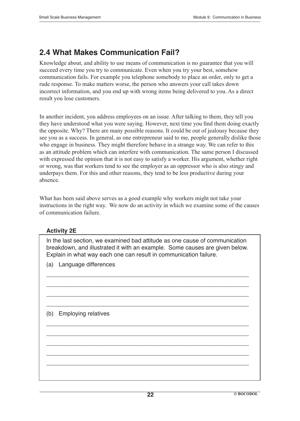### **2.4 What Makes Communication Fail?**

Knowledge about, and ability to use means of communication is no guarantee that you will succeed every time you try to communicate. Even when you try your best, somehow communication fails. For example you telephone somebody to place an order, only to get a rude response. To make matters worse, the person who answers your call takes down incorrect information, and you end up with wrong items being delivered to you. As a direct result you lose customers.

In another incident, you address employees on an issue. After talking to them, they tell you they have understood what you were saying. However, next time you find them doing exactly the opposite. Why? There are many possible reasons. It could be out of jealousy because they see you as a success. In general, as one entrepreneur said to me, people generally dislike those who engage in business. They might therefore behave in a strange way. We can refer to this as an attitude problem which can interfere with communication. The same person I discussed with expressed the opinion that it is not easy to satisfy a worker. His argument, whether right or wrong, was that workers tend to see the employer as an oppressor who is also stingy and underpays them. For this and other reasons, they tend to be less productive during your absence.

What has been said above serves as a good example why workers might not take your instructions in the right way. We now do an activity in which we examine some of the causes of communication failure.

#### **Activity 2E**

In the last section, we examined bad attitude as one cause of communication breakdown, and illustrated it with an example. Some causes are given below. Explain in what way each one can result in communication failure.

\_\_\_\_\_\_\_\_\_\_\_\_\_\_\_\_\_\_\_\_\_\_\_\_\_\_\_\_\_\_\_\_\_\_\_\_\_\_\_\_\_\_\_\_\_\_\_\_\_\_\_\_\_\_\_\_\_\_\_\_\_\_

\_\_\_\_\_\_\_\_\_\_\_\_\_\_\_\_\_\_\_\_\_\_\_\_\_\_\_\_\_\_\_\_\_\_\_\_\_\_\_\_\_\_\_\_\_\_\_\_\_\_\_\_\_\_\_\_\_\_\_\_\_\_

\_\_\_\_\_\_\_\_\_\_\_\_\_\_\_\_\_\_\_\_\_\_\_\_\_\_\_\_\_\_\_\_\_\_\_\_\_\_\_\_\_\_\_\_\_\_\_\_\_\_\_\_\_\_\_\_\_\_\_\_\_\_

\_\_\_\_\_\_\_\_\_\_\_\_\_\_\_\_\_\_\_\_\_\_\_\_\_\_\_\_\_\_\_\_\_\_\_\_\_\_\_\_\_\_\_\_\_\_\_\_\_\_\_\_\_\_\_\_\_\_\_\_\_\_

\_\_\_\_\_\_\_\_\_\_\_\_\_\_\_\_\_\_\_\_\_\_\_\_\_\_\_\_\_\_\_\_\_\_\_\_\_\_\_\_\_\_\_\_\_\_\_\_\_\_\_\_\_\_\_\_\_\_\_\_\_\_

\_\_\_\_\_\_\_\_\_\_\_\_\_\_\_\_\_\_\_\_\_\_\_\_\_\_\_\_\_\_\_\_\_\_\_\_\_\_\_\_\_\_\_\_\_\_\_\_\_\_\_\_\_\_\_\_\_\_\_\_\_\_

\_\_\_\_\_\_\_\_\_\_\_\_\_\_\_\_\_\_\_\_\_\_\_\_\_\_\_\_\_\_\_\_\_\_\_\_\_\_\_\_\_\_\_\_\_\_\_\_\_\_\_\_\_\_\_\_\_\_\_\_\_\_

\_\_\_\_\_\_\_\_\_\_\_\_\_\_\_\_\_\_\_\_\_\_\_\_\_\_\_\_\_\_\_\_\_\_\_\_\_\_\_\_\_\_\_\_\_\_\_\_\_\_\_\_\_\_\_\_\_\_\_\_\_\_

\_\_\_\_\_\_\_\_\_\_\_\_\_\_\_\_\_\_\_\_\_\_\_\_\_\_\_\_\_\_\_\_\_\_\_\_\_\_\_\_\_\_\_\_\_\_\_\_\_\_\_\_\_\_\_\_\_\_\_\_\_\_

(a) Language differences

#### (b) Employing relatives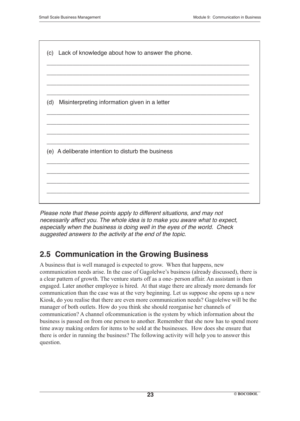

Please note that these points apply to different situations, and may not necessarily affect you. The whole idea is to make you aware what to expect, especially when the business is doing well in the eyes of the world. Check suggested answers to the activity at the end of the topic.

# **2.5 Communication in the Growing Business**

A business that is well managed is expected to grow. When that happens, new communication needs arise. In the case of Gagolelwe's business (already discussed), there is a clear pattern of growth. The venture starts off as a one- person affair. An assistant is then engaged. Later another employee is hired. At that stage there are already more demands for communication than the case was at the very beginning. Let us suppose she opens up a new Kiosk, do you realise that there are even more communication needs? Gagolelwe will be the manager of both outlets. How do you think she should reorganise her channels of communication? A channel ofcommunication is the system by which information about the business is passed on from one person to another. Remember that she now has to spend more time away making orders for items to be sold at the businesses. How does she ensure that there is order in running the business? The following activity will help you to answer this question.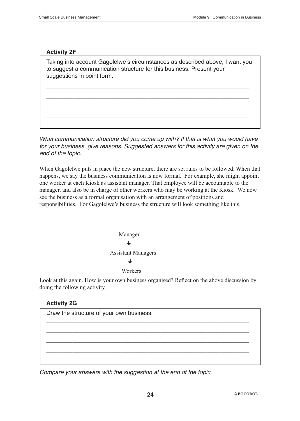#### **Activity 2F**

Taking into account Gagolelwe's circumstances as described above, I want you to suggest a communication structure for this business. Present your suggestions in point form.

\_\_\_\_\_\_\_\_\_\_\_\_\_\_\_\_\_\_\_\_\_\_\_\_\_\_\_\_\_\_\_\_\_\_\_\_\_\_\_\_\_\_\_\_\_\_\_\_\_\_\_\_\_\_\_\_\_\_\_\_\_\_

\_\_\_\_\_\_\_\_\_\_\_\_\_\_\_\_\_\_\_\_\_\_\_\_\_\_\_\_\_\_\_\_\_\_\_\_\_\_\_\_\_\_\_\_\_\_\_\_\_\_\_\_\_\_\_\_\_\_\_\_\_\_

\_\_\_\_\_\_\_\_\_\_\_\_\_\_\_\_\_\_\_\_\_\_\_\_\_\_\_\_\_\_\_\_\_\_\_\_\_\_\_\_\_\_\_\_\_\_\_\_\_\_\_\_\_\_\_\_\_\_\_\_\_\_

\_\_\_\_\_\_\_\_\_\_\_\_\_\_\_\_\_\_\_\_\_\_\_\_\_\_\_\_\_\_\_\_\_\_\_\_\_\_\_\_\_\_\_\_\_\_\_\_\_\_\_\_\_\_\_\_\_\_\_\_\_\_

What communication structure did you come up with? If that is what you would have for your business, give reasons. Suggested answers for this activity are given on the end of the topic.

When Gagolelwe puts in place the new structure, there are set rules to be followed. When that happens, we say the business communication is now formal. For example, she might appoint one worker at each Kiosk as assistant manager. That employee will be accountable to the manager, and also be in charge of other workers who may be working at the Kiosk. We now see the business as a formal organisation with an arrangement of positions and responsibilities. For Gagolelwe's business the structure will look something like this.



Look at this again. How is your own business organised? Reflect on the above discussion by doing the following activity.

\_\_\_\_\_\_\_\_\_\_\_\_\_\_\_\_\_\_\_\_\_\_\_\_\_\_\_\_\_\_\_\_\_\_\_\_\_\_\_\_\_\_\_\_\_\_\_\_\_\_\_\_\_\_\_\_\_\_\_\_\_\_

\_\_\_\_\_\_\_\_\_\_\_\_\_\_\_\_\_\_\_\_\_\_\_\_\_\_\_\_\_\_\_\_\_\_\_\_\_\_\_\_\_\_\_\_\_\_\_\_\_\_\_\_\_\_\_\_\_\_\_\_\_\_

\_\_\_\_\_\_\_\_\_\_\_\_\_\_\_\_\_\_\_\_\_\_\_\_\_\_\_\_\_\_\_\_\_\_\_\_\_\_\_\_\_\_\_\_\_\_\_\_\_\_\_\_\_\_\_\_\_\_\_\_\_\_

\_\_\_\_\_\_\_\_\_\_\_\_\_\_\_\_\_\_\_\_\_\_\_\_\_\_\_\_\_\_\_\_\_\_\_\_\_\_\_\_\_\_\_\_\_\_\_\_\_\_\_\_\_\_\_\_\_\_\_\_\_\_

#### **Activity 2G**

Draw the structure of your own business.

Compare your answers with the suggestion at the end of the topic.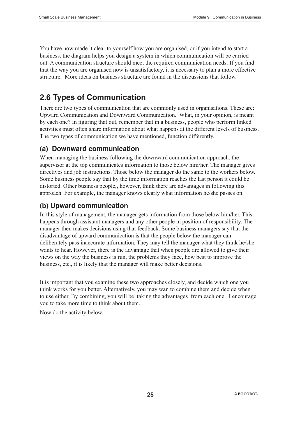You have now made it clear to yourself how you are organised, or if you intend to start a business, the diagram helps you design a system in which communication will be carried out. A communication structure should meet the required communication needs. If you find that the way you are organised now is unsatisfactory, it is necessary to plan a more effective structure. More ideas on business structure are found in the discussions that follow.

# **2.6 Types of Communication**

There are two types of communication that are commonly used in organisations. These are: Upward Communication and Downward Communication. What, in your opinion, is meant by each one? In figuring that out, remember that in a business, people who perform linked activities must often share information about what happens at the different levels of business. The two types of communication we have mentioned, function differently.

### **(a) Downward communication**

When managing the business following the downward communication approach, the supervisor at the top communicates information to those below him/her. The manager gives directives and job instructions. Those below the manager do the same to the workers below. Some business people say that by the time information reaches the last person it could be distorted. Other business people,, however, think there are advantages in following this approach. For example, the manager knows clearly what information he/she passes on.

### **(b) Upward communication**

In this style of management, the manager gets information from those below him/her. This happens through assistant managers and any other people in position of responsibility. The manager then makes decisions using that feedback. Some business managers say that the disadvantage of upward communication is that the people below the manager can deliberately pass inaccurate information. They may tell the manager what they think he/she wants to hear. However, there is the advantage that when people are allowed to give their views on the way the business is run, the problems they face, how best to improve the business, etc., it is likely that the manager will make better decisions.

It is important that you examine these two approaches closely, and decide which one you think works for you better. Alternatively, you may wan to combine them and decide when to use either. By combining, you will be taking the advantages from each one. I encourage you to take more time to think about them.

Now do the activity below.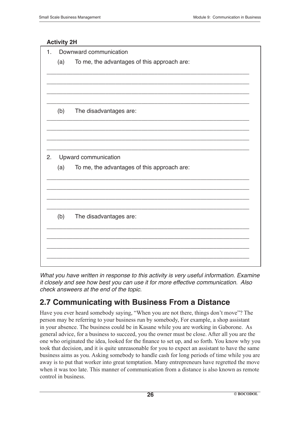#### **Activity 2H**

| 1.                         | Downward communication |                                             |  |  |
|----------------------------|------------------------|---------------------------------------------|--|--|
|                            | (a)                    | To me, the advantages of this approach are: |  |  |
|                            |                        |                                             |  |  |
|                            |                        |                                             |  |  |
|                            |                        |                                             |  |  |
|                            | (b)                    | The disadvantages are:                      |  |  |
|                            |                        |                                             |  |  |
|                            |                        |                                             |  |  |
|                            |                        |                                             |  |  |
| Upward communication<br>2. |                        |                                             |  |  |
|                            | (a)                    | To me, the advantages of this approach are: |  |  |
|                            |                        |                                             |  |  |
|                            |                        |                                             |  |  |
|                            |                        |                                             |  |  |
|                            | (b)                    | The disadvantages are:                      |  |  |
|                            |                        |                                             |  |  |
|                            |                        |                                             |  |  |
|                            |                        |                                             |  |  |
|                            |                        |                                             |  |  |

What you have written in response to this activity is very useful information. Examine it closely and see how best you can use it for more effective communication. Also check answeers at the end of the topic.

# **2.7 Communicating with Business From a Distance**

Have you ever heard somebody saying, "When you are not there, things don't move"? The person may be referring to your business run by somebody, For example, a shop assistant in your absence. The business could be in Kasane while you are working in Gaborone. As general advice, for a business to succeed, you the owner must be close. After all you are the one who originated the idea, looked for the finance to set up, and so forth. You know why you took that decision, and it is quite unreasonable for you to expect an assistant to have the same business aims as you. Asking somebody to handle cash for long periods of time while you are away is to put that worker into great temptation. Many entrepreneurs have regretted the move when it was too late. This manner of communication from a distance is also known as remote control in business.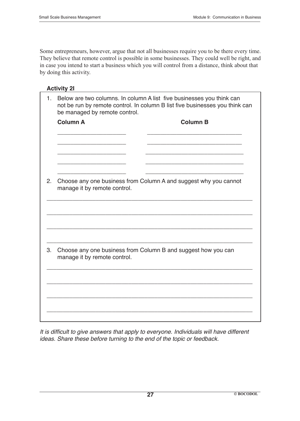Some entrepreneurs, however, argue that not all businesses require you to be there every time. They believe that remote control is possible in some businesses. They could well be right, and in case you intend to start a business which you will control from a distance, think about that by doing this activity.

| <b>Activit</b> |  |
|----------------|--|
|----------------|--|

| 1. | Below are two columns. In column A list five businesses you think can<br>not be run by remote control. In column B list five businesses you think can<br>be managed by remote control. |                                                                  |  |  |
|----|----------------------------------------------------------------------------------------------------------------------------------------------------------------------------------------|------------------------------------------------------------------|--|--|
|    | <b>Column A</b>                                                                                                                                                                        | <b>Column B</b>                                                  |  |  |
|    |                                                                                                                                                                                        |                                                                  |  |  |
|    |                                                                                                                                                                                        |                                                                  |  |  |
|    |                                                                                                                                                                                        |                                                                  |  |  |
| 2. | manage it by remote control.                                                                                                                                                           | Choose any one business from Column A and suggest why you cannot |  |  |
|    |                                                                                                                                                                                        |                                                                  |  |  |
|    |                                                                                                                                                                                        |                                                                  |  |  |
|    |                                                                                                                                                                                        |                                                                  |  |  |
| 3. | Choose any one business from Column B and suggest how you can<br>manage it by remote control.                                                                                          |                                                                  |  |  |
|    |                                                                                                                                                                                        |                                                                  |  |  |
|    |                                                                                                                                                                                        |                                                                  |  |  |
|    |                                                                                                                                                                                        |                                                                  |  |  |
|    |                                                                                                                                                                                        |                                                                  |  |  |

It is difficult to give answers that apply to everyone. Individuals will have different ideas. Share these before turning to the end of the topic or feedback.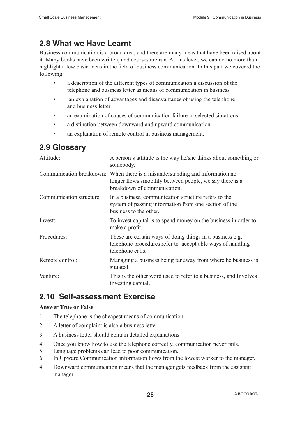# **2.8 What we Have Learnt**

Business communication is a broad area, and there are many ideas that have been raised about it. Many books have been written, and courses are run. At this level, we can do no more than highlight a few basic ideas in the field of business communication. In this part we covered the following:

- • a description of the different types of communication a discussion of the telephone and business letter as means of communication in business
- an explanation of advantages and disadvantages of using the telephone and business letter
- an examination of causes of communication failure in selected situations
- a distinction between downward and upward communication
- an explanation of remote control in business management.

# **2.9 Glossary**

| Attitude:                | A person's attitude is the way he/she thinks about something or<br>somebody.                                                                                           |
|--------------------------|------------------------------------------------------------------------------------------------------------------------------------------------------------------------|
|                          | Communication breakdown: When there is a misunderstanding and information no<br>longer flows smoothly between people, we say there is a<br>breakdown of communication. |
| Communication structure: | In a business, communication structure refers to the<br>system of passing information from one section of the<br>business to the other.                                |
| Invest:                  | To invest capital is to spend money on the business in order to<br>make a profit.                                                                                      |
| Procedures:              | These are certain ways of doing things in a business e.g.<br>telephone procedures refer to accept able ways of handling<br>telephone calls.                            |
| Remote control:          | Managing a business being far away from where he business is<br>situated.                                                                                              |
| Venture:                 | This is the other word used to refer to a business, and Involves<br>investing capital.                                                                                 |

# **2.10 Self-assessment Exercise**

#### **Answer True or False**

- 1. The telephone is the cheapest means of communication.
- 2. A letter of complaint is also a business letter
- 3. A business letter should contain detailed explanations
- 4. Once you know how to use the telephone correctly, communication never fails.
- 5. Language problems can lead to poor communication.
- 6. In Upward Communication information flows from the lowest worker to the manager.
- 4. Downward communication means that the manager gets feedback from the assistant manager.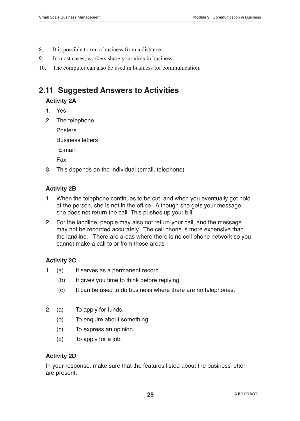- 8. It is possible to run a business from a distance.
- 9. In most cases, workers share your aims in business.
- 10. The computer can also be used in business for communication.

# **2.11 Suggested Answers to Activities**

#### **Activity 2A**

- 1. Yes
- 2. The telephone

 Posters

Business letters

E-mail

 Fax

3. This depends on the individual (email, telephone)

### **Activity 2B**

- 1. When the telephone continues to be cut, and when you eventually get hold of the person, she is not in the office. Although she gets your message, she does not return the call. This pushes up your bill.
- 2. For the landline, people may also not return your call, and the message may not be recorded accurately. The cell phone is more expensive than the landline. There are areas where there is no cell phone network so you cannot make a call to or from those areas

### **Activity 2C**

- 1. (a) It serves as a permanent record .
	- (b) It gives you time to think before replying.
	- (c) It can be used to do business where there are no telephones.
- 2. (a) To apply for funds.
	- (b) To enquire about something.
	- (c) To express an opinion.
	- (d) To apply for a job.

### **Activity 2D**

In your response, make sure that the features listed about the business letter are present.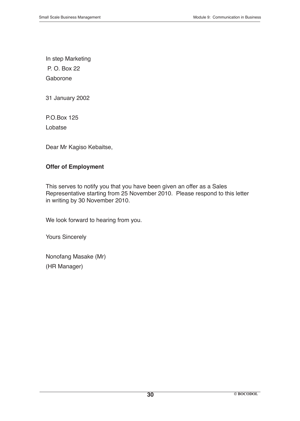In step Marketing P. O. Box 22 Gaborone

31 January 2002

P.O.Box 125 Lobatse

Dear Mr Kagiso Kebaitse,

#### **Offer of Employment**

This serves to notify you that you have been given an offer as a Sales Representative starting from 25 November 2010. Please respond to this letter in writing by 30 November 2010.

We look forward to hearing from you.

Yours Sincerely

Nonofang Masake (Mr) (HR Manager)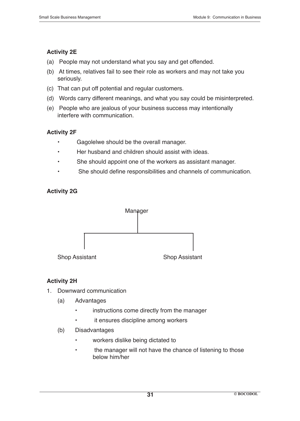### **Activity 2E**

- (a) People may not understand what you say and get offended.
- (b) At times, relatives fail to see their role as workers and may not take you seriously.
- (c) That can put off potential and regular customers.
- (d) Words carry different meanings, and what you say could be misinterpreted.
- (e) People who are jealous of your business success may intentionally interfere with communication.

### **Activity 2F**

- • Gagolelwe should be the overall manager.
- Her husband and children should assist with ideas.
- She should appoint one of the workers as assistant manager.
- She should define responsibilities and channels of communication.

### **Activity 2G**



### **Activity 2H**

- 1. Downward communication
	- (a) Advantages
		- instructions come directly from the manager
		- it ensures discipline among workers
	- (b) Disadvantages
		- workers dislike being dictated to
		- the manager will not have the chance of listening to those below him/her